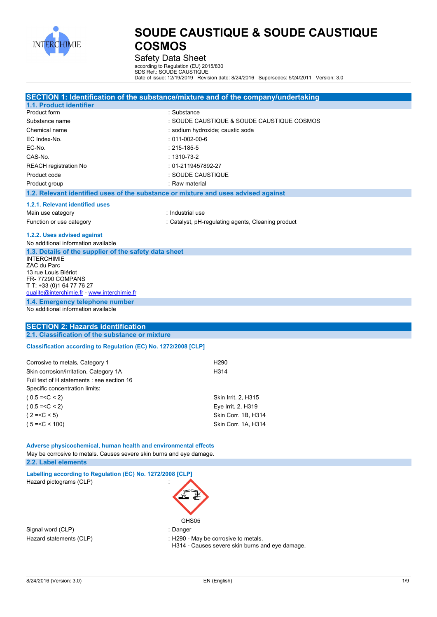

Safety Data Sheet

according to Regulation (EU) 2015/830

SDS Ref.: SOUDE CAUSTIQUE Date of issue: 12/19/2019 Revision date: 8/24/2016 Supersedes: 5/24/2011 Version: 3.0

|                                                                                             | SECTION 1: Identification of the substance/mixture and of the company/undertaking |
|---------------------------------------------------------------------------------------------|-----------------------------------------------------------------------------------|
| 1.1. Product identifier                                                                     |                                                                                   |
| Product form                                                                                | : Substance                                                                       |
| Substance name                                                                              | : SOUDE CAUSTIQUE & SOUDE CAUSTIQUE COSMOS                                        |
| Chemical name                                                                               | : sodium hydroxide; caustic soda                                                  |
| EC Index-No.                                                                                | $: 011 - 002 - 00 - 6$                                                            |
| EC-No.                                                                                      | $: 215 - 185 - 5$                                                                 |
| CAS-No.                                                                                     | $: 1310 - 73 - 2$                                                                 |
| <b>REACH registration No</b>                                                                | : 01-2119457892-27                                                                |
| Product code                                                                                | : SOUDE CAUSTIQUE                                                                 |
| Product group                                                                               | : Raw material                                                                    |
| 1.2. Relevant identified uses of the substance or mixture and uses advised against          |                                                                                   |
| 1.2.1. Relevant identified uses                                                             |                                                                                   |
| Main use category                                                                           | : Industrial use                                                                  |
| Function or use category                                                                    | : Catalyst, pH-regulating agents, Cleaning product                                |
| 1.2.2. Uses advised against                                                                 |                                                                                   |
| No additional information available                                                         |                                                                                   |
| 1.3. Details of the supplier of the safety data sheet                                       |                                                                                   |
| <b>INTERCHIMIE</b>                                                                          |                                                                                   |
| ZAC du Parc                                                                                 |                                                                                   |
| 13 rue Louis Blériot<br>FR-77290 COMPANS                                                    |                                                                                   |
| T T: +33 (0) 1 64 77 76 27                                                                  |                                                                                   |
| qualite@interchimie.fr - www.interchimie.fr                                                 |                                                                                   |
| 1.4. Emergency telephone number                                                             |                                                                                   |
| No additional information available                                                         |                                                                                   |
| <b>SECTION 2: Hazards identification</b>                                                    |                                                                                   |
|                                                                                             |                                                                                   |
| 2.1. Classification of the substance or mixture                                             |                                                                                   |
|                                                                                             |                                                                                   |
| Classification according to Regulation (EC) No. 1272/2008 [CLP]                             |                                                                                   |
| Corrosive to metals, Category 1                                                             | H <sub>290</sub>                                                                  |
| Skin corrosion/irritation, Category 1A                                                      | H314                                                                              |
| Full text of H statements : see section 16                                                  |                                                                                   |
| Specific concentration limits:                                                              |                                                                                   |
| $(0.5 = < C < 2)$                                                                           | Skin Irrit. 2, H315                                                               |
| $(0.5 = < C < 2)$                                                                           | Eye Irrit. 2, H319                                                                |
| $(2=$                                                                                       | Skin Corr. 1B, H314                                                               |
| $(5 = < C < 100)$                                                                           | Skin Corr. 1A, H314                                                               |
|                                                                                             |                                                                                   |
|                                                                                             |                                                                                   |
| Adverse physicochemical, human health and environmental effects                             |                                                                                   |
| May be corrosive to metals. Causes severe skin burns and eye damage.<br>2.2. Label elements |                                                                                   |
|                                                                                             |                                                                                   |
| Labelling according to Regulation (EC) No. 1272/2008 [CLP]                                  |                                                                                   |
| Hazard pictograms (CLP)                                                                     |                                                                                   |
|                                                                                             |                                                                                   |
|                                                                                             |                                                                                   |
|                                                                                             |                                                                                   |
|                                                                                             | GHS05                                                                             |
| Signal word (CLP)<br>Hazard statements (CLP)                                                | : Danger<br>: H290 - May be corrosive to metals.                                  |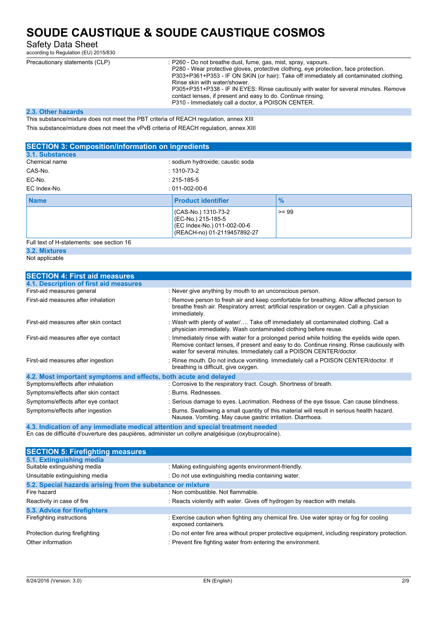Safety Data Sheet

according to Regulation (EU) 2015/830

| Precautionary statements (CLP) | : P260 - Do not breathe dust, fume, gas, mist, spray, vapours.<br>P280 - Wear protective gloves, protective clothing, eye protection, face protection.<br>P303+P361+P353 - IF ON SKIN (or hair): Take off immediately all contaminated clothing.<br>Rinse skin with water/shower.<br>P305+P351+P338 - IF IN EYES: Rinse cautiously with water for several minutes. Remove<br>contact lenses, if present and easy to do. Continue rinsing. |
|--------------------------------|-------------------------------------------------------------------------------------------------------------------------------------------------------------------------------------------------------------------------------------------------------------------------------------------------------------------------------------------------------------------------------------------------------------------------------------------|
|                                | P310 - Immediately call a doctor, a POISON CENTER.                                                                                                                                                                                                                                                                                                                                                                                        |
|                                |                                                                                                                                                                                                                                                                                                                                                                                                                                           |

#### **2.3. Other hazards**

This substance/mixture does not meet the PBT criteria of REACH regulation, annex XIII

This substance/mixture does not meet the vPvB criteria of REACH regulation, annex XIII

| <b>SECTION 3: Composition/information on ingredients</b> |                                                                                                         |               |  |
|----------------------------------------------------------|---------------------------------------------------------------------------------------------------------|---------------|--|
| 3.1. Substances                                          |                                                                                                         |               |  |
| Chemical name                                            | : sodium hydroxide; caustic soda                                                                        |               |  |
| CAS-No.                                                  | $: 1310 - 73 - 2$                                                                                       |               |  |
| EC-No.                                                   | $: 215 - 185 - 5$                                                                                       |               |  |
| EC Index-No.                                             | $: 011 - 002 - 00 - 6$                                                                                  |               |  |
| <b>Name</b>                                              | <b>Product identifier</b>                                                                               | $\frac{9}{6}$ |  |
|                                                          | (CAS-No.) 1310-73-2<br>(EC-No.) 215-185-5<br>(EC Index-No.) 011-002-00-6<br>(REACH-no) 01-2119457892-27 | $>= 99$       |  |

Full text of H-statements: see section 16

### **3.2. Mixtures**

Not applicable

| <b>SECTION 4: First aid measures</b>                             |                                                                                                                                                                                                                                                                |
|------------------------------------------------------------------|----------------------------------------------------------------------------------------------------------------------------------------------------------------------------------------------------------------------------------------------------------------|
| 4.1. Description of first aid measures                           |                                                                                                                                                                                                                                                                |
| First-aid measures general                                       | : Never give anything by mouth to an unconscious person.                                                                                                                                                                                                       |
| First-aid measures after inhalation                              | : Remove person to fresh air and keep comfortable for breathing. Allow affected person to<br>breathe fresh air. Respiratory arrest: artificial respiration or oxygen. Call a physician<br>immediately.                                                         |
| First-aid measures after skin contact                            | : Wash with plenty of water/ Take off immediately all contaminated clothing. Call a<br>physician immediately. Wash contaminated clothing before reuse.                                                                                                         |
| First-aid measures after eye contact                             | : Immediately rinse with water for a prolonged period while holding the eyelids wide open.<br>Remove contact lenses, if present and easy to do. Continue rinsing. Rinse cautiously with<br>water for several minutes. Immediately call a POISON CENTER/doctor. |
| First-aid measures after ingestion                               | : Rinse mouth. Do not induce vomiting. Immediately call a POISON CENTER/doctor. If<br>breathing is difficult, give oxygen.                                                                                                                                     |
| 4.2. Most important symptoms and effects, both acute and delayed |                                                                                                                                                                                                                                                                |
| Symptoms/effects after inhalation                                | : Corrosive to the respiratory tract. Cough. Shortness of breath.                                                                                                                                                                                              |
| Symptoms/effects after skin contact                              | : Burns. Rednesses.                                                                                                                                                                                                                                            |
| Symptoms/effects after eye contact                               | : Serious damage to eyes. Lacrimation. Redness of the eye tissue. Can cause blindness.                                                                                                                                                                         |
| Symptoms/effects after ingestion                                 | : Burns. Swallowing a small quantity of this material will result in serious health hazard.<br>Nausea. Vomiting. May cause gastric irritation. Diarrhoea.                                                                                                      |

**4.3. Indication of any immediate medical attention and special treatment needed** En cas de difficulté d'ouverture des paupières, administer un collyre analgésique (oxybuprocaïne).

| <b>SECTION 5: Firefighting measures</b>                    |                                                                                                               |
|------------------------------------------------------------|---------------------------------------------------------------------------------------------------------------|
| 5.1. Extinguishing media                                   |                                                                                                               |
| Suitable extinguishing media                               | : Making extinguishing agents environment-friendly.                                                           |
| Unsuitable extinguishing media                             | : Do not use extinguishing media containing water.                                                            |
| 5.2. Special hazards arising from the substance or mixture |                                                                                                               |
| Fire hazard                                                | : Non combustible. Not flammable.                                                                             |
| Reactivity in case of fire                                 | : Reacts violently with water. Gives off hydrogen by reaction with metals.                                    |
| 5.3. Advice for firefighters                               |                                                                                                               |
| Firefighting instructions                                  | : Exercise caution when fighting any chemical fire. Use water spray or fog for cooling<br>exposed containers. |
| Protection during firefighting                             | : Do not enter fire area without proper protective equipment, including respiratory protection.               |
| Other information                                          | : Prevent fire fighting water from entering the environment.                                                  |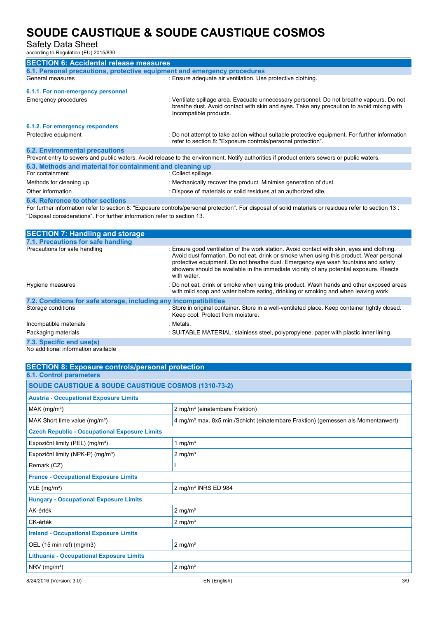Safety Data Sheet

according to Regulation (EU) 2015/830

| <b>SECTION 6: Accidental release measures</b>                                                                                              |                                                                                                                                                                                                                 |  |  |  |
|--------------------------------------------------------------------------------------------------------------------------------------------|-----------------------------------------------------------------------------------------------------------------------------------------------------------------------------------------------------------------|--|--|--|
| 6.1. Personal precautions, protective equipment and emergency procedures                                                                   |                                                                                                                                                                                                                 |  |  |  |
| General measures                                                                                                                           | : Ensure adequate air ventilation. Use protective clothing.                                                                                                                                                     |  |  |  |
| 6.1.1. For non-emergency personnel                                                                                                         |                                                                                                                                                                                                                 |  |  |  |
| Emergency procedures                                                                                                                       | : Ventilate spillage area. Evacuate unnecessary personnel. Do not breathe vapours. Do not<br>breathe dust. Avoid contact with skin and eyes. Take any precaution to avoid mixing with<br>Incompatible products. |  |  |  |
| 6.1.2. For emergency responders                                                                                                            |                                                                                                                                                                                                                 |  |  |  |
| Protective equipment                                                                                                                       | : Do not attempt to take action without suitable protective equipment. For further information<br>refer to section 8: "Exposure controls/personal protection".                                                  |  |  |  |
| <b>6.2. Environmental precautions</b>                                                                                                      |                                                                                                                                                                                                                 |  |  |  |
| Prevent entry to sewers and public waters. Avoid release to the environment. Notify authorities if product enters sewers or public waters. |                                                                                                                                                                                                                 |  |  |  |
| 6.3. Methods and material for containment and cleaning up                                                                                  |                                                                                                                                                                                                                 |  |  |  |
| For containment                                                                                                                            | : Collect spillage.                                                                                                                                                                                             |  |  |  |
| Methods for cleaning up                                                                                                                    | : Mechanically recover the product. Minimise generation of dust.                                                                                                                                                |  |  |  |
| Other information                                                                                                                          | : Dispose of materials or solid residues at an authorized site.                                                                                                                                                 |  |  |  |
|                                                                                                                                            |                                                                                                                                                                                                                 |  |  |  |

**6.4. Reference to other sections** For further information refer to section 8: "Exposure controls/personal protection". For disposal of solid materials or residues refer to section 13 : "Disposal considerations". For further information refer to section 13.

| <b>SECTION 7: Handling and storage</b>                            |                                                                                                                                                                                                                                                                                                                                                                                       |
|-------------------------------------------------------------------|---------------------------------------------------------------------------------------------------------------------------------------------------------------------------------------------------------------------------------------------------------------------------------------------------------------------------------------------------------------------------------------|
| 7.1. Precautions for safe handling                                |                                                                                                                                                                                                                                                                                                                                                                                       |
| Precautions for safe handling                                     | : Ensure good ventilation of the work station. Avoid contact with skin, eyes and clothing.<br>Avoid dust formation. Do not eat, drink or smoke when using this product. Wear personal<br>protective equipment. Do not breathe dust. Emergency eye wash fountains and safety<br>showers should be available in the immediate vicinity of any potential exposure. Reacts<br>with water. |
| Hygiene measures                                                  | : Do not eat, drink or smoke when using this product. Wash hands and other exposed areas<br>with mild soap and water before eating, drinking or smoking and when leaving work.                                                                                                                                                                                                        |
| 7.2. Conditions for safe storage, including any incompatibilities |                                                                                                                                                                                                                                                                                                                                                                                       |
| Storage conditions                                                | : Store in original container. Store in a well-ventilated place. Keep container tightly closed.<br>Keep cool. Protect from moisture.                                                                                                                                                                                                                                                  |
| Incompatible materials                                            | : Metals.                                                                                                                                                                                                                                                                                                                                                                             |
| Packaging materials                                               | : SUITABLE MATERIAL: stainless steel, polypropylene. paper with plastic inner lining.                                                                                                                                                                                                                                                                                                 |
| 7.3. Specific end use(s)                                          |                                                                                                                                                                                                                                                                                                                                                                                       |
| No additional information available                               |                                                                                                                                                                                                                                                                                                                                                                                       |

| <b>SECTION 8: Exposure controls/personal protection</b>         |                                                                                              |
|-----------------------------------------------------------------|----------------------------------------------------------------------------------------------|
| <b>8.1. Control parameters</b>                                  |                                                                                              |
| <b>SOUDE CAUSTIQUE &amp; SOUDE CAUSTIQUE COSMOS (1310-73-2)</b> |                                                                                              |
| <b>Austria - Occupational Exposure Limits</b>                   |                                                                                              |
| $MAK$ (mg/m <sup>3</sup> )                                      | 2 mg/m <sup>3</sup> (einatembare Fraktion)                                                   |
| MAK Short time value (mg/m <sup>3</sup> )                       | 4 mg/m <sup>3</sup> max. 8x5 min./Schicht (einatembare Fraktion) (gemessen als Momentanwert) |
| <b>Czech Republic - Occupational Exposure Limits</b>            |                                                                                              |
| Expoziční limity (PEL) (mg/m <sup>3</sup> )                     | 1 mg/ $m3$                                                                                   |
| Expoziční limity (NPK-P) (mg/m <sup>3</sup> )                   | $2 \text{ mg/m}^3$                                                                           |
| Remark (CZ)                                                     |                                                                                              |
| <b>France - Occupational Exposure Limits</b>                    |                                                                                              |
| $VLE$ (mg/m <sup>3</sup> )                                      | 2 mg/m <sup>3</sup> INRS ED 984                                                              |
| <b>Hungary - Occupational Exposure Limits</b>                   |                                                                                              |
| AK-érték                                                        | $2 \text{ mg/m}^3$                                                                           |
| CK-érték                                                        | $2 \text{ mg/m}^3$                                                                           |
| <b>Ireland - Occupational Exposure Limits</b>                   |                                                                                              |
| OEL (15 min ref) (mg/m3)                                        | $2$ mg/m <sup>3</sup>                                                                        |
| <b>Lithuania - Occupational Exposure Limits</b>                 |                                                                                              |
| $NRV$ (mg/m <sup>3</sup> )                                      | $2 \text{ mg/m}^3$                                                                           |
| 8/24/2016 (Version: 3.0)                                        | 3/9<br>EN (English)                                                                          |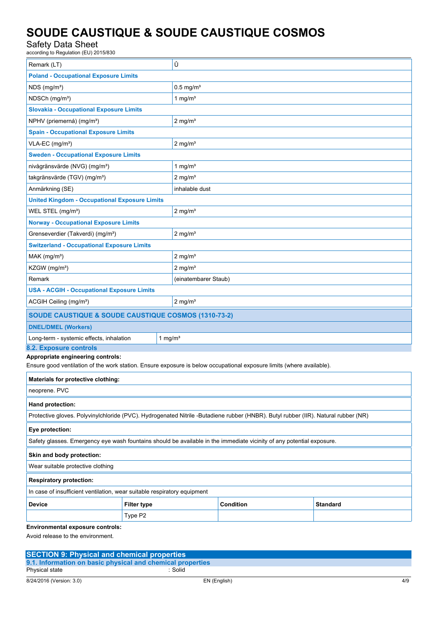### Safety Data Sheet

according to Regulation (EU) 2015/830

| Remark (LT)                                                                                                                        |                         | Û                     |           |  |                 |
|------------------------------------------------------------------------------------------------------------------------------------|-------------------------|-----------------------|-----------|--|-----------------|
| <b>Poland - Occupational Exposure Limits</b>                                                                                       |                         |                       |           |  |                 |
| $NDS$ (mg/m <sup>3</sup> )                                                                                                         | $0.5$ mg/m <sup>3</sup> |                       |           |  |                 |
| NDSCh (mq/m <sup>3</sup> )                                                                                                         |                         | 1 mg/ $m3$            |           |  |                 |
| <b>Slovakia - Occupational Exposure Limits</b>                                                                                     |                         |                       |           |  |                 |
| NPHV (priemerná) (mg/m <sup>3</sup> )                                                                                              |                         | $2 \text{ mg/m}^3$    |           |  |                 |
| <b>Spain - Occupational Exposure Limits</b>                                                                                        |                         |                       |           |  |                 |
| VLA-EC (mg/m <sup>3</sup> )                                                                                                        | $2$ mg/m <sup>3</sup>   |                       |           |  |                 |
| <b>Sweden - Occupational Exposure Limits</b>                                                                                       |                         |                       |           |  |                 |
| nivågränsvärde (NVG) (mg/m <sup>3</sup> )                                                                                          |                         | 1 mg/ $m3$            |           |  |                 |
| takgränsvärde (TGV) (mg/m <sup>3</sup> )                                                                                           |                         | $2$ mg/m <sup>3</sup> |           |  |                 |
| Anmärkning (SE)                                                                                                                    |                         | inhalable dust        |           |  |                 |
| <b>United Kingdom - Occupational Exposure Limits</b>                                                                               |                         |                       |           |  |                 |
| WEL STEL (mg/m <sup>3</sup> )                                                                                                      |                         | $2$ mg/m <sup>3</sup> |           |  |                 |
| <b>Norway - Occupational Exposure Limits</b>                                                                                       |                         |                       |           |  |                 |
| Grenseverdier (Takverdi) (mg/m <sup>3</sup> )                                                                                      |                         | $2 \text{ mg/m}^3$    |           |  |                 |
| <b>Switzerland - Occupational Exposure Limits</b>                                                                                  |                         |                       |           |  |                 |
| $MAK$ (mg/m <sup>3</sup> )                                                                                                         |                         | $2 \text{ mg/m}^3$    |           |  |                 |
| KZGW (mg/m <sup>3</sup> )                                                                                                          |                         | $2$ mg/m <sup>3</sup> |           |  |                 |
| Remark                                                                                                                             |                         | (einatembarer Staub)  |           |  |                 |
| <b>USA - ACGIH - Occupational Exposure Limits</b>                                                                                  |                         |                       |           |  |                 |
| $2$ mg/m <sup>3</sup><br>ACGIH Ceiling (mg/m <sup>3</sup> )                                                                        |                         |                       |           |  |                 |
| SOUDE CAUSTIQUE & SOUDE CAUSTIQUE COSMOS (1310-73-2)                                                                               |                         |                       |           |  |                 |
| <b>DNEL/DMEL (Workers)</b>                                                                                                         |                         |                       |           |  |                 |
| Long-term - systemic effects, inhalation                                                                                           | 1 mg/ $m3$              |                       |           |  |                 |
| 8.2. Exposure controls<br>Appropriate engineering controls:                                                                        |                         |                       |           |  |                 |
| Ensure good ventilation of the work station. Ensure exposure is below occupational exposure limits (where available).              |                         |                       |           |  |                 |
| Materials for protective clothing:                                                                                                 |                         |                       |           |  |                 |
| neoprene. PVC                                                                                                                      |                         |                       |           |  |                 |
| Hand protection:                                                                                                                   |                         |                       |           |  |                 |
| Protective gloves. Polyvinylchloride (PVC). Hydrogenated Nitrile -Butadiene rubber (HNBR). Butyl rubber (IIR). Natural rubber (NR) |                         |                       |           |  |                 |
| Eye protection:                                                                                                                    |                         |                       |           |  |                 |
| Safety glasses. Emergency eye wash fountains should be available in the immediate vicinity of any potential exposure.              |                         |                       |           |  |                 |
| Skin and body protection:                                                                                                          |                         |                       |           |  |                 |
| Wear suitable protective clothing                                                                                                  |                         |                       |           |  |                 |
| <b>Respiratory protection:</b>                                                                                                     |                         |                       |           |  |                 |
| In case of insufficient ventilation, wear suitable respiratory equipment                                                           |                         |                       |           |  |                 |
| <b>Device</b>                                                                                                                      | <b>Filter type</b>      |                       | Condition |  | <b>Standard</b> |
|                                                                                                                                    | Type P2                 |                       |           |  |                 |
| Environmental exposure controls:                                                                                                   |                         |                       |           |  |                 |

Avoid release to the environment.

| <b>SECTION 9: Physical and chemical properties</b>         |              |     |
|------------------------------------------------------------|--------------|-----|
| 9.1. Information on basic physical and chemical properties |              |     |
| Physical state                                             | : Solid      |     |
| 8/24/2016 (Version: 3.0)                                   | EN (English) | 4/9 |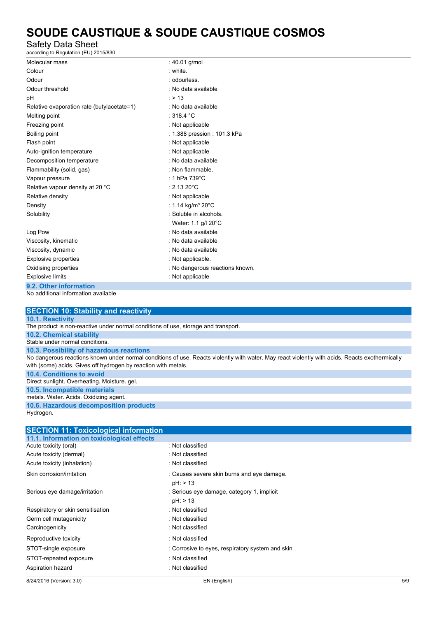### Safety Data Sheet

according to Regulation (EU) 2015/830

| Molecular mass                             | : 40.01 g/mol                            |
|--------------------------------------------|------------------------------------------|
| Colour                                     | : white.                                 |
| Odour                                      | : odourless.                             |
| Odour threshold                            | : No data available                      |
| рH                                         | : > 13                                   |
| Relative evaporation rate (butylacetate=1) | : No data available                      |
| Melting point                              | : 318.4 $^{\circ}$ C                     |
| Freezing point                             | : Not applicable                         |
| Boiling point                              | : 1.388 pression : 101.3 kPa             |
| Flash point                                | : Not applicable                         |
| Auto-ignition temperature                  | : Not applicable                         |
| Decomposition temperature                  | : No data available                      |
| Flammability (solid, gas)                  | : Non flammable.                         |
| Vapour pressure                            | : 1 hPa $739^{\circ}$ C                  |
| Relative vapour density at 20 °C           | $: 2.1320^{\circ}$ C                     |
| Relative density                           | : Not applicable                         |
| Density                                    | : 1.14 kg/m <sup>3</sup> 20 $^{\circ}$ C |
| Solubility                                 | : Soluble in alcohols.                   |
|                                            | Water: 1.1 g/l 20°C                      |
| Log Pow                                    | : No data available                      |
| Viscosity, kinematic                       | : No data available                      |
| Viscosity, dynamic                         | : No data available                      |
| Explosive properties                       | : Not applicable.                        |
| Oxidising properties                       | : No dangerous reactions known.          |
| <b>Explosive limits</b>                    | : Not applicable                         |
| 9.2. Other information                     |                                          |
| No additional information available        |                                          |

#### **SECTION 10: Stability and reactivity 10.1. Reactivity** The product is non-reactive under normal conditions of use, storage and transport. **10.2. Chemical stability** Stable under normal conditions. **10.3. Possibility of hazardous reactions** No dangerous reactions known under normal conditions of use. Reacts violently with water. May react violently with acids. Reacts exothermically with (some) acids. Gives off hydrogen by reaction with metals. **10.4. Conditions to avoid** Direct sunlight. Overheating. Moisture. gel. **10.5. Incompatible materials** metals. Water. Acids. Oxidizing agent. **10.6. Hazardous decomposition products** Hydrogen.

| 8/24/2016 (Version: 3.0)                     | EN (English)                                     | 5/9 |
|----------------------------------------------|--------------------------------------------------|-----|
| Aspiration hazard                            | : Not classified                                 |     |
| STOT-repeated exposure                       | : Not classified                                 |     |
| STOT-single exposure                         | : Corrosive to eyes, respiratory system and skin |     |
| Reproductive toxicity                        | : Not classified                                 |     |
| Carcinogenicity                              | : Not classified                                 |     |
| Germ cell mutagenicity                       | : Not classified                                 |     |
| Respiratory or skin sensitisation            | : Not classified                                 |     |
|                                              | pH: > 13                                         |     |
| Serious eye damage/irritation                | : Serious eye damage, category 1, implicit       |     |
|                                              | $pH:$ > 13                                       |     |
| Skin corrosion/irritation                    | : Causes severe skin burns and eye damage.       |     |
| Acute toxicity (inhalation)                  | : Not classified                                 |     |
| Acute toxicity (dermal)                      | : Not classified                                 |     |
| Acute toxicity (oral)                        | : Not classified                                 |     |
| 11.1. Information on toxicological effects   |                                                  |     |
| <b>SECTION 11: Toxicological information</b> |                                                  |     |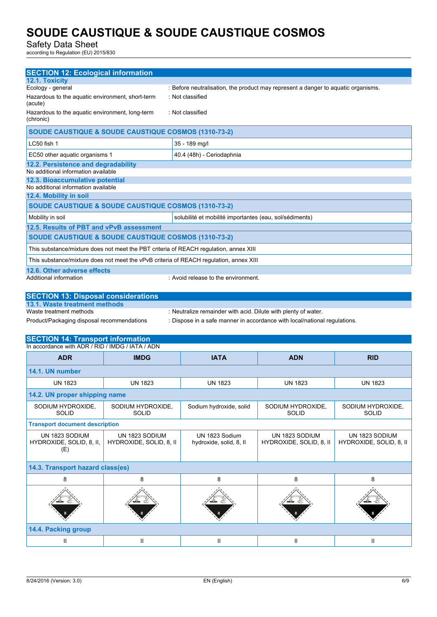Safety Data Sheet

according to Regulation (EU) 2015/830

| <b>SECTION 12: Ecological information</b>                                              |                                                                                   |  |
|----------------------------------------------------------------------------------------|-----------------------------------------------------------------------------------|--|
| 12.1. Toxicity                                                                         |                                                                                   |  |
| Ecology - general                                                                      | : Before neutralisation, the product may represent a danger to aquatic organisms. |  |
| Hazardous to the aquatic environment, short-term<br>(acute)                            | : Not classified                                                                  |  |
| Hazardous to the aquatic environment, long-term<br>(chronic)                           | : Not classified                                                                  |  |
| SOUDE CAUSTIQUE & SOUDE CAUSTIQUE COSMOS (1310-73-2)                                   |                                                                                   |  |
| LC50 fish 1                                                                            | 35 - 189 mg/l                                                                     |  |
| EC50 other aquatic organisms 1                                                         | 40.4 (48h) - Ceriodaphnia                                                         |  |
| 12.2. Persistence and degradability                                                    |                                                                                   |  |
| No additional information available                                                    |                                                                                   |  |
| 12.3. Bioaccumulative potential                                                        |                                                                                   |  |
| No additional information available                                                    |                                                                                   |  |
| 12.4. Mobility in soil                                                                 |                                                                                   |  |
| <b>SOUDE CAUSTIQUE &amp; SOUDE CAUSTIQUE COSMOS (1310-73-2)</b>                        |                                                                                   |  |
| Mobility in soil                                                                       | solubilité et mobilité importantes (eau, sol/sédiments)                           |  |
| 12.5. Results of PBT and vPvB assessment                                               |                                                                                   |  |
| <b>SOUDE CAUSTIQUE &amp; SOUDE CAUSTIQUE COSMOS (1310-73-2)</b>                        |                                                                                   |  |
| This substance/mixture does not meet the PBT criteria of REACH requiation, annex XIII  |                                                                                   |  |
| This substance/mixture does not meet the vPvB criteria of REACH regulation, annex XIII |                                                                                   |  |
| 12.6. Other adverse effects                                                            |                                                                                   |  |
| Additional information                                                                 | : Avoid release to the environment.                                               |  |

| <b>SECTION 13: Disposal considerations</b> |                                                                           |
|--------------------------------------------|---------------------------------------------------------------------------|
| 13.1. Waste treatment methods              |                                                                           |
| Waste treatment methods                    | : Neutralize remainder with acid. Dilute with plenty of water.            |
| Product/Packaging disposal recommendations | : Dispose in a safe manner in accordance with local/national regulations. |

### **SECTION 14: Transport information**

| <b>ADR</b>                                        | <b>IMDG</b>                               | <b>IATA</b>                               | <b>ADN</b>                                | <b>RID</b>                                |
|---------------------------------------------------|-------------------------------------------|-------------------------------------------|-------------------------------------------|-------------------------------------------|
| 14.1. UN number                                   |                                           |                                           |                                           |                                           |
| <b>UN 1823</b>                                    | <b>UN 1823</b>                            | <b>UN 1823</b>                            | <b>UN 1823</b>                            | <b>UN 1823</b>                            |
| 14.2. UN proper shipping name                     |                                           |                                           |                                           |                                           |
| SODIUM HYDROXIDE,<br><b>SOLID</b>                 | SODIUM HYDROXIDE,<br><b>SOLID</b>         | Sodium hydroxide, solid                   | SODIUM HYDROXIDE,<br><b>SOLID</b>         | SODIUM HYDROXIDE,<br><b>SOLID</b>         |
| <b>Transport document description</b>             |                                           |                                           |                                           |                                           |
| UN 1823 SODIUM<br>HYDROXIDE, SOLID, 8, II,<br>(E) | UN 1823 SODIUM<br>HYDROXIDE, SOLID, 8, II | UN 1823 Sodium<br>hydroxide, solid, 8, II | UN 1823 SODIUM<br>HYDROXIDE, SOLID, 8, II | UN 1823 SODIUM<br>HYDROXIDE, SOLID, 8, II |
| 14.3. Transport hazard class(es)                  |                                           |                                           |                                           |                                           |
| 8                                                 | 8                                         | 8                                         | 8                                         | 8                                         |
|                                                   |                                           |                                           |                                           |                                           |
| 14.4. Packing group                               |                                           |                                           |                                           |                                           |
| Ш                                                 | Ш                                         | Ш                                         | Ш                                         | Ш                                         |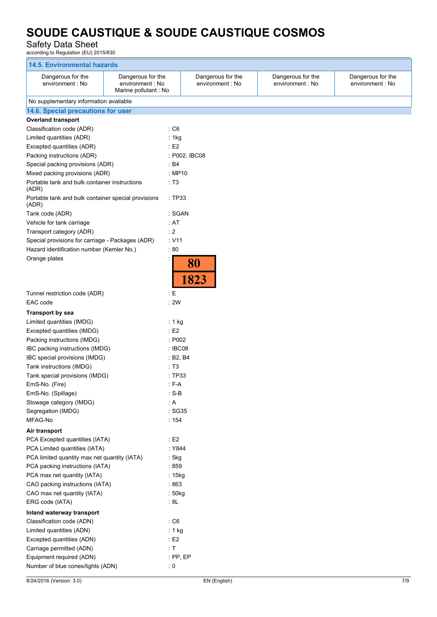### Safety Data Sheet

according to Regulation (EU) 2015/830

| <b>14.5. Environmental hazards</b>                                              |                                                               |                                       |                                       |                                       |
|---------------------------------------------------------------------------------|---------------------------------------------------------------|---------------------------------------|---------------------------------------|---------------------------------------|
| Dangerous for the<br>environment : No                                           | Dangerous for the<br>environment : No<br>Marine pollutant: No | Dangerous for the<br>environment : No | Dangerous for the<br>environment : No | Dangerous for the<br>environment : No |
| No supplementary information available                                          |                                                               |                                       |                                       |                                       |
| 14.6. Special precautions for user                                              |                                                               |                                       |                                       |                                       |
| <b>Overland transport</b>                                                       |                                                               |                                       |                                       |                                       |
| Classification code (ADR)                                                       | $\cdot$ C6                                                    |                                       |                                       |                                       |
| Limited quantities (ADR)                                                        | : 1kg                                                         |                                       |                                       |                                       |
| Excepted quantities (ADR)                                                       | E2                                                            |                                       |                                       |                                       |
| Packing instructions (ADR)                                                      |                                                               | : P002, IBC08                         |                                       |                                       |
| Special packing provisions (ADR)                                                | : B4                                                          |                                       |                                       |                                       |
| Mixed packing provisions (ADR)                                                  |                                                               | : MP10                                |                                       |                                       |
| Portable tank and bulk container instructions<br>(ADR)                          | : T3                                                          |                                       |                                       |                                       |
| Portable tank and bulk container special provisions<br>(ADR)                    |                                                               | :TP33                                 |                                       |                                       |
| Tank code (ADR)                                                                 |                                                               | : SGAN                                |                                       |                                       |
| Vehicle for tank carriage                                                       | : AT                                                          |                                       |                                       |                                       |
| Transport category (ADR)                                                        | : 2                                                           |                                       |                                       |                                       |
| Special provisions for carriage - Packages (ADR)                                | $\therefore$ V11                                              |                                       |                                       |                                       |
| Hazard identification number (Kemler No.)                                       | :80                                                           |                                       |                                       |                                       |
| Orange plates                                                                   |                                                               | 80<br>1823                            |                                       |                                       |
| Tunnel restriction code (ADR)                                                   | $\pm$ E                                                       |                                       |                                       |                                       |
| EAC code                                                                        | : 2W                                                          |                                       |                                       |                                       |
| <b>Transport by sea</b>                                                         |                                                               |                                       |                                       |                                       |
| Limited quantities (IMDG)                                                       | : 1 $kg$                                                      |                                       |                                       |                                       |
| Excepted quantities (IMDG)                                                      | E2                                                            |                                       |                                       |                                       |
| Packing instructions (IMDG)                                                     |                                                               | : P002                                |                                       |                                       |
| IBC packing instructions (IMDG)                                                 |                                                               | : IBC08                               |                                       |                                       |
| IBC special provisions (IMDG)                                                   |                                                               | : B2, B4                              |                                       |                                       |
| Tank instructions (IMDG)                                                        | : T3                                                          |                                       |                                       |                                       |
| Tank special provisions (IMDG)                                                  |                                                               | : TP33                                |                                       |                                       |
| EmS-No. (Fire)                                                                  | $: F-A$                                                       |                                       |                                       |                                       |
| EmS-No. (Spillage)                                                              | $: S-B$                                                       |                                       |                                       |                                       |
| Stowage category (IMDG)                                                         | $\therefore$ A                                                |                                       |                                       |                                       |
| Segregation (IMDG)                                                              |                                                               | : SG35                                |                                       |                                       |
| MFAG-No                                                                         | : 154                                                         |                                       |                                       |                                       |
| Air transport                                                                   |                                                               |                                       |                                       |                                       |
| PCA Excepted quantities (IATA)                                                  | $\div$ E2                                                     |                                       |                                       |                                       |
| PCA Limited quantities (IATA)                                                   |                                                               | : Y844                                |                                       |                                       |
| PCA limited quantity max net quantity (IATA)<br>PCA packing instructions (IATA) | : 5kg<br>:859                                                 |                                       |                                       |                                       |
| PCA max net quantity (IATA)                                                     | : 15kg                                                        |                                       |                                       |                                       |
| CAO packing instructions (IATA)                                                 | :863                                                          |                                       |                                       |                                       |
| CAO max net quantity (IATA)                                                     | : 50kg                                                        |                                       |                                       |                                       |
| ERG code (IATA)                                                                 | : 8L                                                          |                                       |                                       |                                       |
| Inland waterway transport                                                       |                                                               |                                       |                                       |                                       |
| Classification code (ADN)                                                       | : C6                                                          |                                       |                                       |                                       |
| Limited quantities (ADN)                                                        | : 1 kg                                                        |                                       |                                       |                                       |
| Excepted quantities (ADN)                                                       | : E2                                                          |                                       |                                       |                                       |
| Carriage permitted (ADN)                                                        | : $\sf{T}$                                                    |                                       |                                       |                                       |
| Equipment required (ADN)                                                        |                                                               | $:$ PP, EP                            |                                       |                                       |
| Number of blue cones/lights (ADN)                                               | $\colon 0$                                                    |                                       |                                       |                                       |
|                                                                                 |                                                               |                                       |                                       |                                       |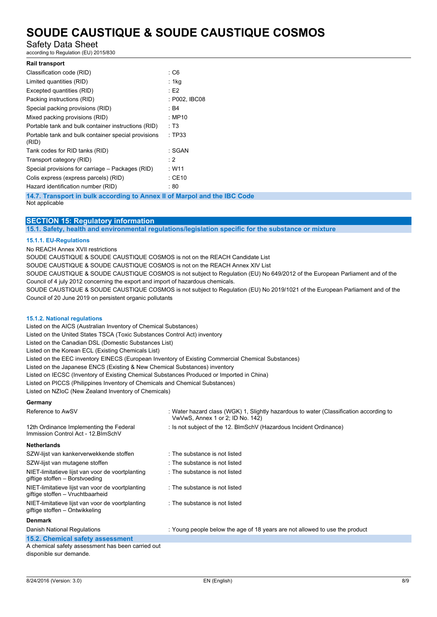### Safety Data Sheet

according to Regulation (EU) 2015/830

| <b>Rail transport</b>                                                    |               |
|--------------------------------------------------------------------------|---------------|
| Classification code (RID)                                                | : C6          |
| Limited quantities (RID)                                                 | : 1kg         |
| Excepted quantities (RID)                                                | E2            |
| Packing instructions (RID)                                               | : P002, IBC08 |
| Special packing provisions (RID)                                         | : B4          |
| Mixed packing provisions (RID)                                           | : MP10        |
| Portable tank and bulk container instructions (RID)                      | : T3          |
| Portable tank and bulk container special provisions<br>(RID)             | : TP33        |
| Tank codes for RID tanks (RID)                                           | : SGAN        |
| Transport category (RID)                                                 | : 2           |
| Special provisions for carriage – Packages (RID)                         | : W11         |
| Colis express (express parcels) (RID)                                    | $:$ CE10      |
| Hazard identification number (RID)                                       | : 80          |
| 14.7. Transport in bulk according to Annex II of Marpol and the IBC Code |               |

Not applicable

### **SECTION 15: Regulatory information**

**15.1. Safety, health and environmental regulations/legislation specific for the substance or mixture**

#### **15.1.1. EU-Regulations**

No REACH Annex XVII restrictions

SOUDE CAUSTIQUE & SOUDE CAUSTIQUE COSMOS is not on the REACH Candidate List

SOUDE CAUSTIQUE & SOUDE CAUSTIQUE COSMOS is not on the REACH Annex XIV List

SOUDE CAUSTIQUE & SOUDE CAUSTIQUE COSMOS is not subject to Regulation (EU) No 649/2012 of the European Parliament and of the Council of 4 july 2012 concerning the export and import of hazardous chemicals.

SOUDE CAUSTIQUE & SOUDE CAUSTIQUE COSMOS is not subject to Regulation (EU) No 2019/1021 of the European Parliament and of the Council of 20 June 2019 on persistent organic pollutants

#### **15.1.2. National regulations**

Listed on the AICS (Australian Inventory of Chemical Substances) Listed on the United States TSCA (Toxic Substances Control Act) inventory Listed on the Canadian DSL (Domestic Substances List) Listed on the Korean ECL (Existing Chemicals List) Listed on the EEC inventory EINECS (European Inventory of Existing Commercial Chemical Substances) Listed on the Japanese ENCS (Existing & New Chemical Substances) inventory Listed on IECSC (Inventory of Existing Chemical Substances Produced or Imported in China) Listed on PICCS (Philippines Inventory of Chemicals and Chemical Substances) Listed on NZIoC (New Zealand Inventory of Chemicals)

#### **Germany**

| Reference to AwSV                                                                    | : Water hazard class (WGK) 1, Slightly hazardous to water (Classification according to<br>VwVwS, Annex 1 or 2; ID No. 142) |
|--------------------------------------------------------------------------------------|----------------------------------------------------------------------------------------------------------------------------|
| 12th Ordinance Implementing the Federal<br>Immission Control Act - 12. BlmSchV       | : Is not subject of the 12. BlmSchV (Hazardous Incident Ordinance)                                                         |
| <b>Netherlands</b>                                                                   |                                                                                                                            |
| SZW-lijst van kankerverwekkende stoffen                                              | : The substance is not listed                                                                                              |
| SZW-lijst van mutagene stoffen                                                       | : The substance is not listed                                                                                              |
| NIET-limitatieve lijst van voor de voortplanting<br>giftige stoffen – Borstvoeding   | : The substance is not listed                                                                                              |
| NIET-limitatieve lijst van voor de voortplanting<br>giftige stoffen – Vruchtbaarheid | : The substance is not listed                                                                                              |
| NIET-limitatieve lijst van voor de voortplanting<br>giftige stoffen – Ontwikkeling   | : The substance is not listed                                                                                              |
| <b>Denmark</b>                                                                       |                                                                                                                            |
| Danish National Regulations                                                          | : Young people below the age of 18 years are not allowed to use the product                                                |
| 15.2. Chemical safety assessment                                                     |                                                                                                                            |
| A chemical safety assessment has been carried out                                    |                                                                                                                            |

disponible sur demande.